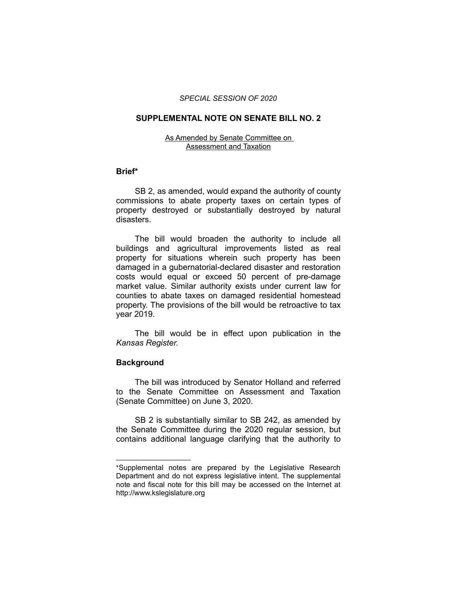#### *SPECIAL SESSION OF 2020*

# **SUPPLEMENTAL NOTE ON SENATE BILL NO. 2**

#### As Amended by Senate Committee on Assessment and Taxation

## **Brief\***

SB 2, as amended, would expand the authority of county commissions to abate property taxes on certain types of property destroyed or substantially destroyed by natural disasters.

The bill would broaden the authority to include all buildings and agricultural improvements listed as real property for situations wherein such property has been damaged in a gubernatorial-declared disaster and restoration costs would equal or exceed 50 percent of pre-damage market value. Similar authority exists under current law for counties to abate taxes on damaged residential homestead property. The provisions of the bill would be retroactive to tax year 2019.

The bill would be in effect upon publication in the *Kansas Register.*

### **Background**

 $\overline{\phantom{a}}$  , where  $\overline{\phantom{a}}$ 

The bill was introduced by Senator Holland and referred to the Senate Committee on Assessment and Taxation (Senate Committee) on June 3, 2020.

SB 2 is substantially similar to SB 242, as amended by the Senate Committee during the 2020 regular session, but contains additional language clarifying that the authority to

<sup>\*</sup>Supplemental notes are prepared by the Legislative Research Department and do not express legislative intent. The supplemental note and fiscal note for this bill may be accessed on the Internet at http://www.kslegislature.org